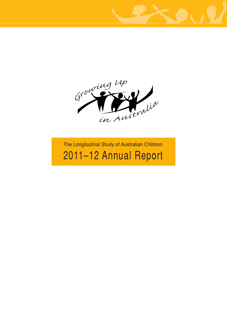



 $T_{\rm eff}$   $T_{\rm eff}$   $T_{\rm eff}$   $T_{\rm eff}$   $T_{\rm eff}$   $T_{\rm eff}$   $T_{\rm eff}$  $2011$ –12 Annual Report The Longitudinal Study of Australian Children 2011–12 Annual Report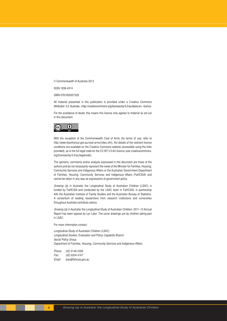© Commonwealth of Australia 2013

ISSN 1836-4314

ISBN 9781925007329

All material presented in this publication is provided under a Creative Commons Attribution 3.0 Australia <http://creativecommons.org/licenses/by/3.0/au/deed.en> licence.

For the avoidance of doubt, this means this licence only applies to material as set out in this document.



With the exception of the Commonwealth Coat of Arms (for terms of use, refer to http://www.itsanhonour.gov.au/coat-arms/index.cfm), the details of the relevant licence conditions are available on the Creative Commons website (accessible using the links provided), as is the full legal code for the CC BY 3.0 AU licence (see creativecommons. org/licenses/by/3.0/au/legalcode).

The opinions, comments and/or analysis expressed in this document are those of the authors and do not necessarily represent the views of the Minister for Families, Housing, Community Services and Indigenous Affairs or the Australian Government Department of Families, Housing, Community Services and Indigenous Affairs (FaHCSIA) and cannot be taken in any way as expressions of government policy.

Growing Up in Australia: the Longitudinal Study of Australian Children (LSAC) is funded by FaHCSIA and conducted by the LSAC team in FaHCSIA, in partnership with the Australian Institute of Family Studies and the Australian Bureau of Statistics. A consortium of leading researchers from research institutions and universities throughout Australia contribute advice.

Growing Up in Australia: the Longitudinal Study of Australian Children: 2011–12 Annual Report has been typeset by Lyn Lalor. The cover drawings are by children taking part in LSAC.

For more information contact:

*Longitudinal Study of Australian Children (LSAC) Longitudinal Studies, Evaluation and Policy Capability Branch Social Policy Group Department of Families, Housing, Community Services and Indigenous Affairs*

*Phone: (02) 6146 2306 Fax: (02) 6204 4747 Email: lsac@fahcsia.gov.au*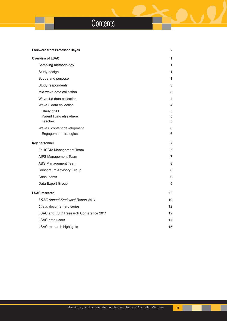# Contents<sup>1</sup>

## **Foreword from Professor Hayes v**

| <b>Overview of LSAC</b>                       | 1              |
|-----------------------------------------------|----------------|
| Sampling methodology                          | 1              |
| Study design                                  | 1              |
| Scope and purpose                             | 1              |
| Study respondents                             | 3              |
| Mid-wave data collection                      | 3              |
| Wave 4.5 data collection                      | 4              |
| Wave 5 data collection                        | 4              |
| Study child                                   | 5              |
| Parent living elsewhere                       | 5              |
| Teacher                                       | 5              |
| Wave 6 content development                    | 6              |
| Engagement strategies                         | 6              |
| Key personnel                                 | 7              |
| FaHCSIA Management Team                       | $\overline{7}$ |
| AIFS Management Team                          | 7              |
| ABS Management Team                           | 8              |
| Consortium Advisory Group                     | 8              |
| Consultants                                   | 9              |
| Data Expert Group                             | 9              |
| <b>LSAC research</b>                          | 10             |
| <b>LSAC Annual Statistical Report 2011</b>    | 10             |
| Life at documentary series                    | 12             |
| <b>LSAC and LSIC Research Conference 2011</b> | 12             |
| <b>LSAC</b> data users                        | 14             |
| <b>LSAC research highlights</b>               | 15             |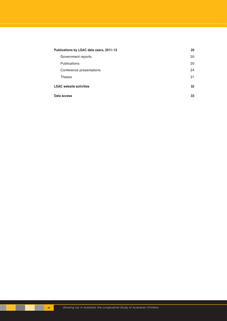| Publications by LSAC data users, 2011-12 |    |  |
|------------------------------------------|----|--|
| Government reports                       | 20 |  |
| <b>Publications</b>                      | 20 |  |
| Conference presentations                 | 24 |  |
| <b>Theses</b>                            | 31 |  |
| <b>LSAC</b> website activities           | 32 |  |
| Data access                              | 33 |  |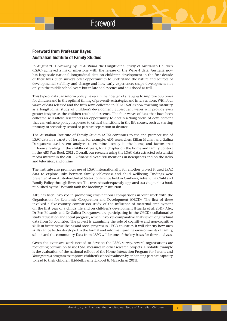## **Foreword from Professor Hayes Australian Institute of Family Studies**

In August 2011 Growing Up in Australia: the Longitudinal Study of Australian Children (LSAC) achieved a major milestone with the release of the Wave 4 data. Australia now has large-scale national longitudinal data on children's development in the first decade of their lives. Such surveys offer opportunities to understand the nature and sources of developmental stability and change and how early experiences shape development not only in the middle school years but in late adolescence and adulthood as well.

This type of data can inform policymakers in their design of strategies to improve outcomes for children and in the optimal timing of preventive strategies and interventions. With four waves of data released and the fifth wave collected in 2012, LSAC is now reaching maturity as a longitudinal study of children's development. Subsequent waves will provide even greater insights as the children reach adolescence. The four waves of data that have been collected will afford researchers an opportunity to obtain a 'long view' of development that can enhance policy responses to critical transitions in the life course, such as starting primary or secondary school or parents' separation or divorce.

The Australian Institute of Family Studies (AIFS) continues to use and promote use of LSAC data in a variety of forums. For example, AIFS researchers Killan Mullan and Galina Daraganova used recent analyses to examine literacy in the home, and factors that influence reading in the childhood years, for a chapter on the home and family context in the ABS Year Book 2012 . Overall, our research using the LSAC data attracted substantial media interest in the 2011–12 financial year: 380 mentions in newspapers and on the radio and television, and online.

The institute also promotes use of LSAC internationally. For another project it used LSAC data to explore links between family joblessness and child wellbeing. Findings were presented at an Australia–United States conference held in Canberra, Advancing Child and Family Policy through Research. The research subsequently appeared as a chapter in a book published by the US think tank the Brookings Institution .

AIFS has been involved in promoting cross-national comparisons in joint work with the Organisation for Economic Cooperation and Development (OECD). The first of these involved a five-country comparison study of the influence of maternal employment on the first year of a child's life and on children's development (Huerta et al. 2011). Also, Dr Ben Edwards and Dr Galina Daraganova are participating in the OECD's collaborative study 'Education and social progress', which involves comparative analyses of longitudinal data from 10 countries. The project is examining the role of cognitive and non-cognitive skills in fostering wellbeing and social progress in OECD countries. It will identify how such skills can be better developed in the formal and informal learning environments of family, school and the community. Data from LSAC will be one of the key bases for these analyses.

Given the extensive work needed to develop the LSAC survey, several organisations are requesting permission to use LSAC measures in other research projects. A notable example is the evaluation of the national rollout of the Home Interaction Program for Parents and Youngsters, a program to improve children's school readiness by enhancing parents' capacity to read to their children (Liddell, Barnett, Roost & McEachran 2011).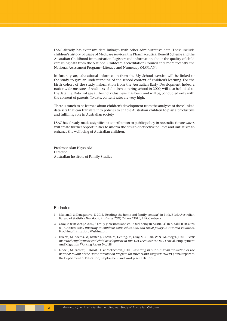LSAC already has extensive data linkages with other administrative data. These include children's history of usage of Medicare services, the Pharmaceutical Benefit Scheme and the Australian Childhood Immunisation Register; and information about the quality of child care using data from the National Childcare Accreditation Council and, more recently, the National Assessment Program—Literacy and Numeracy (NAPLAN).

In future years, educational information from the My School website will be linked to the study to give an understanding of the school context of children's learning. For the birth cohort of the study, information from the Australian Early Development Index, a nationwide measure of readiness of children entering school in 2009, will also be linked to the data file. Data linkage at the individual level has been, and will be, conducted only with the consent of parents. To date, consent rates are very high.

There is much to be learned about children's development from the analyses of these linked data sets that can translate into policies to enable Australian children to play a productive and fulfilling role in Australian society.

LSAC has already made a significant contribution to public policy in Australia; future waves will create further opportunities to inform the design of effective policies and initiatives to enhance the wellbeing of Australian children.

Professor Alan Hayes AM Director Australian Institute of Family Studies

#### Endnotes

- 1 Mullan, K & Daraganova, D 2012, 'Reading: the home and family context', in Pink, B (ed.) Australian Bureau of Statistics Year Book, Australia, 2012, Cat no. 1301.0, ABS, Canberra.
- 2 Gray, M & Baxter, JA 2012, 'Family joblessness and child wellbeing in Australia', in A Kalil, R Haskins & J Chesters (eds), Investing in children: work, education, and social policy in two rich countries, Brookings Institution, Washington.
- 3 Huerta, M, Adema, W, Baxter, J, Corak, M, Deding, M, Gray, MC, Han, W & Waldfogel, J 2011, Early maternal employment and child development in five OECD countries, OECD Social, Employment And Migration Working Papers No. 118.
- 4 Liddell, M, Barnett, T, Roost, FD & McEachran, J 2011, Investing in our future: an evaluation of the national rollout of the Home Interaction Program for Parents and Yougsters (HIPPY), final report to the Department of Education, Employment and Workplace Relations.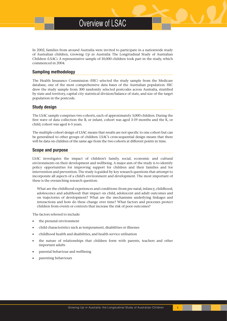In 2002, families from around Australia were invited to participate in a nationwide study of Australian children, Growing Up in Australia: The Longitudinal Study of Australian Children (LSAC). A representative sample of 10,000 children took part in the study, which commenced in 2004.

#### **Sampling methodology**

The Health Insurance Commission (HIC) selected the study sample from the Medicare database, one of the most comprehensive data bases of the Australian population. HIC drew the study sample from 300 randomly selected postcodes across Australia, stratified by state and territory, capital city statistical division/balance of state, and size of the target population in the postcode.

#### **Study design**

The LSAC sample comprises two cohorts, each of approximately 5,000 children. During the first wave of data collection the B, or infant, cohort was aged 3–19 months and the K, or child, cohort was aged 4–5 years.

The multiple-cohort design of LSAC means that results are not specific to one cohort but can be generalised to other groups of children. LSAC's cross-sequential design means that there will be data on children of the same age from the two cohorts at different points in time.

#### **Scope and purpose**

LSAC investigates the impact of children's family, social, economic and cultural environments on their development and wellbeing. A major aim of the study is to identify policy opportunities for improving support for children and their families and for intervention and prevention. The study is guided by key research questions that attempt to incorporate all aspects of a child's environment and development. The most important of these is the overarching research question:

What are the childhood experiences and conditions (from pre-natal, infancy, childhood, adolescence and adulthood) that impact on child, adolescent and adult outcomes and on trajectories of development? What are the mechanisms underlying linkages and interactions and how do these change over time? What factors and processes protect children from events or contexts that increase the risk of poor outcomes?

The factors referred to include:

- the prenatal environment
- child characteristics such as temperament, disabilities or illnesses
- childhood health and disabilities, and health service utilisation
- the nature of relationships that children form with parents, teachers and other important adults
- parental behaviour and wellbeing
- parenting behaviours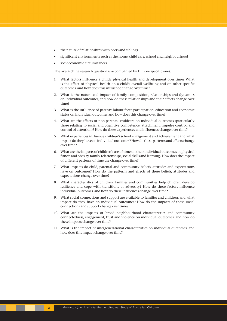- the nature of relationships with peers and siblings
- significant environments such as the home, child care, school and neighbourhood
- socioeconomic circumstances.

The overarching research question is accompanied by 11 more specific ones:

- 1. What factors influence a child's physical health and development over time? What is the effect of physical health on a child's overall wellbeing and on other specific outcomes, and how does this influence change over time?
- 2. What is the nature and impact of family composition, relationships and dynamics on individual outcomes, and how do these relationships and their effects change over time?
- 3. What is the influence of parents' labour force participation, education and economic status on individual outcomes and how does this change over time?
- 4. What are the effects of non-parental childcare on individual outcomes (particularly those relating to social and cognitive competence, attachment, impulse control, and control of attention)? How do these experiences and influences change over time?
- 5. What experiences influence children's school engagement and achievement and what impact do they have on individual outcomes? How do these patterns and effects change over time?
- 6. What are the impacts of children's use of time on their individual outcomes in physical fitness and obesity, family relationships, social skills and learning? How does the impact of different patterns of time use change over time?
- 7. What impacts do child, parental and community beliefs, attitudes and expectations have on outcomes? How do the patterns and effects of these beliefs, attitudes and expectations change over time?
- 8. What characteristics of children, families and communities help children develop resilience and cope with transitions or adversity? How do these factors influence individual outcomes, and how do these influences change over time?
- 9. What social connections and support are available to families and children, and what impact do they have on individual outcomes? How do the impacts of these social connections and support change over time?
- 10. What are the impacts of broad neighbourhood characteristics and community connectedness, engagement, trust and violence on individual outcomes, and how do these impacts change over time?
- 11. What is the impact of intergenerational characteristics on individual outcomes, and how does this impact change over time?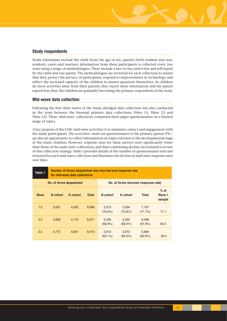## **Study respondents**

Study informants include the child (from the age of six), parents (both resident and nonresident), carers and teachers. Information from these participants is collected every two years using a range of methodologies. These include a face-to face interview and self-report by the child and one parent. The methodologies are reviewed for each collection to ensure that they protect the privacy of participants, respond to improvements in technology and reflect the increased capacity of the children to answer questions themselves. As children do more activities away from their parents, they report more information and the parent reports less; thus, the children are gradually becoming the primary respondents of the study.

#### **Mid-wave data collection**

Following the first three waves of the study, abridged data collection was also conducted in the years between the biennial primary data collections (Wave 1.5, Wave 2.5 and Wave 3.5). These 'mid-wave' collections comprised short paper questionnaires on a limited range of topics.

A key purpose of the LSAC mid-wave activities is to maintain contact and engagement with the study participants. The activities—mail-out questionnaires to the primary parent (P1) are also an opportunity to collect information on topics relevant to the developmental stage of the study children, However, response rates for these surveys were significantly lower than those of the main wave collections, and their continuing decline necessitated a review of this collection strategy. Table 1 provides details of the number of questionnaires sent and returned for each mid-wave collection and illustrates the decline in mid-wave response rates over time.

| Table 1                 | Number of forms despatched and returned and response rate<br>for mid-wave data collections |                 |              |                                       |                     |                     |                            |  |  |
|-------------------------|--------------------------------------------------------------------------------------------|-----------------|--------------|---------------------------------------|---------------------|---------------------|----------------------------|--|--|
| No. of forms despatched |                                                                                            |                 |              | No. of forms returned (response rate) |                     |                     |                            |  |  |
| <b>Wave</b>             | <b>B</b> cohort                                                                            | <b>K</b> cohort | <b>Total</b> | <b>B</b> cohort                       | <b>K</b> cohort     | <b>Total</b>        | $%$ of<br>Wave 1<br>sample |  |  |
| 1.5                     | 5.061                                                                                      | 4,935           | 9,996        | 3,573<br>$(70.6\%)$                   | 3,594<br>$(72.8\%)$ | 7,167<br>(71.7%)    | 71.1                       |  |  |
| 2.5                     | 4,859                                                                                      | 4,712           | 9,571        | 3,246<br>$(66.8\%)$                   | 3,252<br>$(69.0\%)$ | 6,498<br>$(67.9\%)$ | 64.5                       |  |  |
| 3.5                     | 4.772                                                                                      | 4,641           | 9,413        | 3,012<br>$(63.1\%)$                   | 2,972<br>$(64.0\%)$ | 5,984<br>(63.6%)    | 59.4                       |  |  |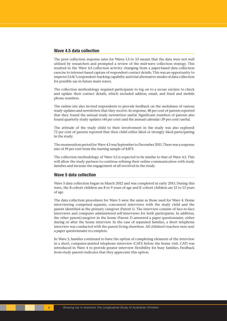#### **Wave 4.5 data collection**

The poor collection response rates for Waves 1.5 to 3.5 meant that the data were not well utilised by researchers and prompted a review of the mid-wave collection strategy. This resulted in the Wave 4.5 collection activity changing from a paper-based data collection exercise to internet-based capture of respondent contact details. This was an opportunity to improve LSAC's respondent-tracking capabilty and trial alternative modes of data collection for possible use in future main waves.

The collection methodology required participants to log on to a secure enclave to check and update their contact details, which included address, email, and fixed and mobile phone numbers.

The online site also invited respondents to provide feedback on the usefulness of various study updates and newsletters that they receive. In response, 48 per cent of parents reported that they found the annual study newsletters useful. Significant numbers of parents also found quarterly study updates (44 per cent) and the annual calendar (39 per cent) useful.

The attitude of the study child to their involvement in the study was also explored: 72 per cent of parents reported that their child either liked or strongly liked participating in the study.

The enumeration period for Wave 4.5 was September to December 2011. There was a response rate of 59 per cent from the starting sample of 8,875.

The collection methodology of Wave 5.5 is expected to be similar to that of Wave 4.5. This will allow the study partners to continue refining their online communication with study families and increase the engagement of all involved in the study.

## **Wave 5 data collection**

Wave 5 data collection began in March 2012 and was completed in early 2013. During this wave, the B cohort children are 8 to 9 years of age and K cohort children are 12 to 13 years of age.

The data collection procedures for Wave 5 were the same as those used for Wave 4. Home interviewing comprised separate, concurrent interviews with the study child and the parent identified as the primary caregiver (Parent 1). The interview consists of face-to-face interviews and computer administered self-interviews for both participants. In addition, the other parent/caregiver in the home (Parent 2) answered a paper questionnaire, either during or after the home interview. In the case of separated families, a short telephone interview was conducted with the parent living elsewhere. All children's teachers were sent a paper questionnaire to complete.

In Wave 5, families continued to have the option of completing elements of the interview in a short, computer-assisted telephone interview (CATI) before the home visit. CATI was introduced in Wave 4 to provide greater interview flexibility for busy families. Feedback from study parents indicates that they appreciate this option.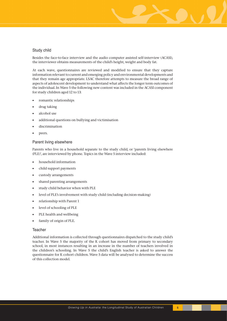

#### Study child

Besides the face-to-face interview and the audio computer assisted self-interview (ACASI), the interviewer obtains measurements of the child's height, weight and body fat.

At each wave, questionnaires are reviewed and modified to ensure that they capture information relevant to current and emerging policy and environmental developments and that they remain age appropriate. LSAC therefore attempts to measure the broad range of aspects of adolescent development to understand what affects the longer term outcomes of the individual. In Wave 5 the following new content was included in the ACASI component for study children aged 12 to 13:

- romantic relationships
- drug taking
- alcohol use
- additional questions on bullying and victimisation
- discrimination
- peers.

#### Parent living elsewhere

Parents who live in a household separate to the study child, or 'parents living elsewhere (PLE)', are interviewed by phone. Topics in the Wave 5 interview included:

- household information
- child support payments
- custody arrangements
- shared parenting arrangements
- study child behavior when with PLE
- level of PLE's involvement with study child (including decision-making)
- relationship with Parent 1
- level of schooling of PLE
- PLE health and wellbeing
- family of origin of PLE.

#### **Teacher**

Additional information is collected through questionnaires dispatched to the study child's teacher. In Wave 5 the majority of the K cohort has moved from primary to secondary school, in most instances resulting in an increase in the number of teachers involved in the children's schooling. In Wave 5 the child's English teacher is asked to answer the questionnaire for K cohort children. Wave 5 data will be analysed to determine the success of this collection model.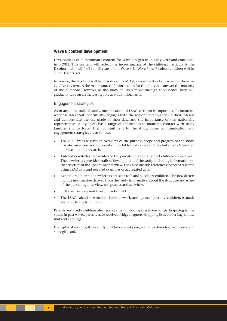#### **Wave 6 content development**

Development of questionnaire content for Wave 6 began in in early 2012 and continued into 2013. This content will reflect the increasing age of the children, particularly the K cohort, who will be 14 to 15 years old in Wave 6. In Wave 6 the B cohort children will be 10 to 11 years old.

In Wave 6, the B cohort will be introduced to ACASI, as was the K cohort when of the same age. Parents remain the major source of information for the study and answer the majority of the questions. However, as the study children move through adolescence, they will gradually take on an increasing role as study informants.

#### Engagement strategies

As in any longitudinal study, minimisation of LSAC attrition is important. To maintain response rates LSAC continually engages with the respondents to keep up their interest and demonstrate the use made of their data and the importance of this nationally representative study. LSAC has a range of approaches to maintain contact with study families and to foster their commitment to the study. Some communication and engagement strategies are as follows:

- The LSAC website gives an overview of the purpose, scope and progress of the study. It is also an access and information portal for data users and has links to LSAC-related publications and research.
- Tailored newsletters are mailed to the parents of B and K cohort children twice a year. The newsletters provide details of development of the study, including information on the structure of the upcoming interview. They also include references to recent research using LSAC data and selected examples of aggregated data.
- Age-tailored biennial newsletters are sent to B and K cohort children. The newsletters include information derived from the study, information about the structure and scope of the upcoming interview, and puzzles and activities.
- Birthday cards are sent to each study child.
- The LSAC calendar, which includes artwork and quotes by study children, is made available to study children.

Parents and study children also receive small gifts of appreciation for participating in the study. In past waves, parents have received fridge magnets, shopping lists, cooler bag, mouse mat and gym bag.

Examples of recent gifts to study children are gel pens, wallet, pedometer, earphones, and store gift card.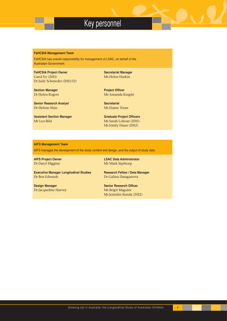## Key personnel

#### **FaHCSIA Management Team**

FaHCSIA has overall responsibility for management of LSAC, on behalf of the Australian Government.

**FaHCSIA Project Owner** Carol Ey (2011) Dr Judy Schnieder (2011/12)

**Section Manager** Dr Helen Rogers

**Senior Research Analyst** Dr Helene Shin

**Assistant Section Manager** Mr Leo Bild

**Secretariat Manager** Ms Helen Harkin

**Project Officer** Ms Amanda Knight

**Secretariat** Ms Elaine Teran

**Graduate Project Officers** Ms Sarah Lohoar (2011) Ms Emily Dann (2012)

#### **AIFS Management Team**

AIFS manages the development of the study content and design, and the output of study data.

**AIFS Project Owner** Dr Daryl Higgins

**LSAC Data Administrator** Mr Mark Sipthorp

**Executive Manager Longitudinal Studies** Dr Ben Edwards

**Design Manager** Dr Jacqueline Harvey **Research Fellow / Data Manager** Dr Galina Daraganova

**Senior Research Officer** Ms Brigit Maguire Ms Jennifer Renda (2012)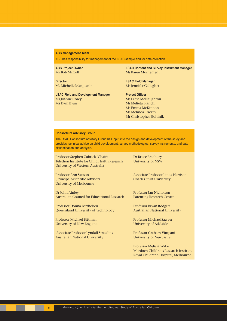#### **ABS Management Team**

ABS has responsibility for management of the LSAC sample and for data collection.

**ABS Project Owner** Mr Bob McColl

**Director**  Ms Michelle Marquardt

**LSAC Field and Development Manager** Ms Joanne Corey Ms Kym Byars

**LSAC Content and Survey Instrument Manager** Ms Karen Mornement

**LSAC Field Manager** Ms Jennifer Gallagher

**Project Officer** Ms Leesa McNaughton Ms Melieta Bianchi Ms Emma McKinnon Ms Melinda Trickey Mr Christopher Hoitinik

#### **Consortium Advisory Group**

The LSAC Consortium Advisory Group has input into the design and development of the study and provides technical advice on child development, survey methodologies, survey instruments, and data dissemination and analysis.

Professor Stephen Zubrick (Chair) Telethon Institute for Child Health Research University of Western Australia

Professor Ann Sanson (Principal Scientific Advisor) University of Melbourne

Dr John Ainley Australian Council for Educational Research

Professor Donna Berthelsen Queensland University of Technology

Professor Michael Bittman University of New England

 Associate Professor Lyndall Strazdins Australian National University

Dr Bruce Bradbury University of NSW

Associate Professor Linda Harrison Charles Sturt University

Professor Jan Nicholson Parenting Research Centre

Professor Bryan Rodgers Australian National University

Professor Michael Sawyer University of Adelaide

Professor Graham Vimpani University of Newcastle

Professor Melissa Wake Murdoch Childrens Research Institute Royal Children's Hospital, Melbourne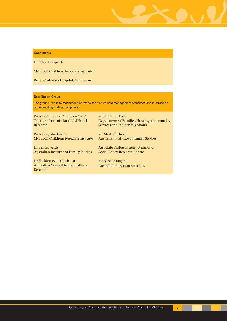#### **Consultants**

Dr Peter Azzopardi

Murdoch Childrens Research Institute

Royal Children's Hospital, Melbourne

#### **Data Expert Group**

The group's role is to recommend or review the study's data management processes and to advise on issues relating to data manipulation.

Professor Stephen Zubrick (Chair) Telethon Institute for Child Health Research

Professor John Carlin Murdoch Childrens Research Institute

Dr Ben Edwards Australian Institute of Family Studies

Dr Sheldon (Sam) Rothman Australian Council for Educational Research

Mr Stephen Horn Department of Families, Housing, Community Services and Indigenous Affairs

Mr Mark Sipthorp Australian Institute of Family Studies

Associate Professor Gerry Redmond Social Policy Research Centre

Mr Alistair Rogers Australian Bureau of Statistics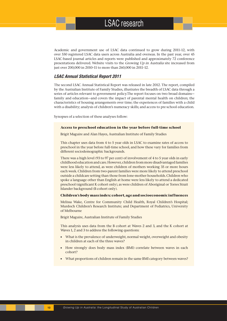Academic and government use of LSAC data continued to grow during 2011–12, with over 550 registered LSAC data users across Australia and overseas. In the past year, over 45 LSAC-based journal articles and reports were published and approximately 72 conference presentations delivered. Website visits to the Growing Up in Australia site increased from just over 200,000 in 2010–11 to more than 260,000 in 2011–12.

#### **LSAC Annual Statistical Report 2011**

The second LSAC Annual Statistical Report was released in late 2012. The report, compiled by the Australian Institute of Family Studies, illustrates the breadth of LSAC data through a series of articles relevant to government policy.The report focuses on two broad domains family and education—and covers the impact of parental mental health on children; the characteristics of housing arrangements over time; the experiences of families with a child with a disability; analysis of children's numeracy skills; and access to pre-school education.

Synopses of a selection of these analyses follow:

#### **Access to preschool education in the year before full-time school**

Brigit Maguire and Alan Hayes, Australian Institute of Family Studies

This chapter uses data from 4 to 5 year olds in LSAC to examine rates of access to preschool in the year before full-time school, and how these vary for families from different sociodemographic backgrounds.

There was a high level (93 to 97 per cent) of involvement of 4 to 5 year olds in early childhood education and care. However, children from more disadvantaged families were less likely to attend, as were children of mothers working 35 or more hours each week. Children from two-parent families were more likely to attend preschool outside a childcare setting than those from lone-mother households. Children who spoke a language other than English at home were less likely to attend a dedicated preschool (significant K cohort only), as were children of Aboriginal or Torres Strait Islander background (B cohort only).

#### **Children's body mass index: cohort, age and socioeconomic influences**

Melissa Wake, Centre for Community Child Health, Royal Children's Hospital; Murdoch Children's Research Institute; and Department of Pediatrics, University of Melbourne

Brigit Maguire, Australian Institute of Family Studies

This analysis uses data from the B cohort at Waves 2 and 3, and the K cohort at Waves 1, 2 and 3 to address the following questions:

- What is the prevalence of underweight, normal weight, overweight and obesity in children at each of the three waves?
- How strongly does body mass index (BMI) correlate between waves in each cohort?
- What proportions of children remain in the same BMI category between waves?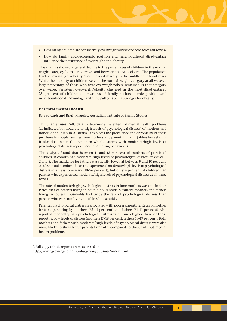- How many children are consistently overweight/obese or obese across all waves?
- How do family socioeconomic position and neighbourhood disadvantage influence the persistence of overweight and obesity?

The analysis showed a general decline in the percentages of children in the normal weight category, both across waves and between the two cohorts. The population levels of overweight/obesity also increased sharply in the middle childhood years. While the majority of children were in the normal weight category at all waves, a large percentage of those who were overweight/obese remained in that category over waves. Persistent overweight/obesity clustered in the most disadvantaged 25 per cent of children on measures of family socioeconomic position and neighbourhood disadvantage, with the patterns being stronger for obesity.

#### **Parental mental health**

Ben Edwards and Brigit Maguire, Australian Institute of Family Studies

This chapter uses LSAC data to determine the extent of mental health problems (as indicated by moderate to high levels of psychological distress) of mothers and fathers of children in Australia. It explores the prevalence and chronicity of these problems in couple families, lone mothers, and parents living in jobless households. It also documents the extent to which parents with moderate/high levels of psychological distress report poorer parenting behaviours.

The analysis found that between 11 and 13 per cent of mothers of preschool children (B cohort) had moderate/high levels of psychological distress at Waves 1, 2 and 3. The incidence for fathers was slightly lower, at between 9 and 10 per cent. A substantial number of parents experienced moderate/high levels of psychological distress in at least one wave (18–26 per cent), but only 4 per cent of children had parents who experienced moderate/high levels of psychological distress at all three waves.

The rate of moderate/high psychological distress in lone mothers was one in four, twice that of parents living in couple households. Similarly, mothers and fathers living in jobless households had twice the rate of psychological distress than parents who were not living in jobless households.

Parental psychological distress is associated with poorer parenting. Rates of hostile/ irritable parenting by mothers (33–41 per cent) and fathers (31–41 per cent) who reported moderate/high psychological distress were much higher than for those reporting low levels of distress (mothers 17–19 per cent; fathers 18–19 per cent). Both mothers and fathers with moderate/high levels of psychological distress were also more likely to show lower parental warmth, compared to those without mental health problems.

A full copy of this report can be accessed at http://www.growingupinaustralia.gov.au/pubs/asr/index.html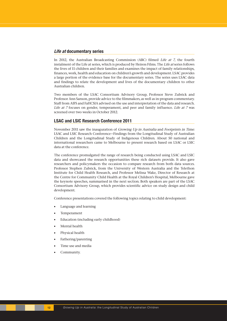#### **Life at documentary series**

In 2012, the Australian Broadcasting Commission (ABC) filmed Life at 7, the fourth instalment of the Life at series, which is produced by Heiress Films. The Life at series follows the lives of 11 children and their families and examines the impact of family relationships, finances, work, health and education on children's growth and development. LSAC provides a large portion of the evidence base for the documentary series. The series uses LSAC data and findings to relate the development and lives of the documentary children to other Australian children.

Two members of the LSAC Consortium Advisory Group, Professor Steve Zubrick and Professor Ann Sanson, provide advice to the filmmakers, as well as in-program commentary. Staff from AIFS and FaHCSIA advised on the use and interpretation of the data and research. Life at 7 focuses on gender, temperament, and peer and family influence. Life at 7 was screened over two weeks in October 2012.

#### **LSAC and LSIC Research Conference 2011**

November 2011 saw the inauguration of Growing Up in Australia and Footprints in Time: LSAC and LSIC Research Conference—Findings from the Longitudinal Study of Australian Children and the Longitudinal Study of Indigenous Children. About 50 national and international researchers came to Melbourne to present research based on LSAC or LSIC data at the conference.

The conference promulgated the range of research being conducted using LSAC and LSIC data and showcased the research opportunities these rich datasets provide. It also gave researchers and policymakers the occasion to compare research from both data sources. Professor Stephen Zubrick, from the University of Western Australia and the Telethon Institute for Child Health Research, and Professor Melissa Wake, Director of Research at the Centre for Community Child Health at the Royal Children's Hospital, Melbourne gave the keynote speeches, summarised in the next section. Both speakers are part of the LSAC Consortium Advisory Group, which provides scientific advice on study design and child development.

Conference presentations covered the following topics relating to child development:

- Language and learning
- Temperament
- Education (including early childhood)
- Mental health
- Physical health
- Fathering/parenting
- Time use and media
- Community.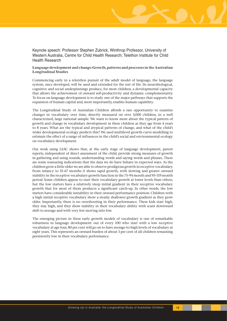Keynote speech: Professor Stephen Zubrick, Winthrop Professor, University of Western Australia, Centre for Child Health Research; Telethon Institute for Child Health Research

#### **Language development and change: Growth, patterns and processes in the Australian Longitudinal Studies**

Commencing early in a relentless pursuit of the adult model of language, the language system, once developed, will be used and extended for the rest of life. Its neurobiological, cognitive and social underpinnings produce, for most children, a developmental capacity that allows the achievement of onward self-productivity and dynamic complementarity. To focus on language development is to study one of the major pathways that supports the expansion of human capital and, most importantly, enables human capability.

The Longitudinal Study of Australian Children affords a rare opportunity to examine changes in vocabulary over time, directly measured on over 3,000 children, in a well characterised, large national sample. We want to know more about the typical pattern of growth and change in vocabulary development in these children as they age from 4 years to 8 years. What are the typical and atypical patterns of change, and what of the child's wider developmental ecology predicts this? We used multilevel growth curve modelling to estimate the effect of a range of influences in the child's social and environmental ecology on vocabulary development.

Our work using LSAC shows that, at the early stage of language development, parent reports, independent of direct assessment of the child, provide strong measures of growth in gathering and using sounds, understanding words and saying words and phrases. There are some reassuring indications that the data we do have behave in expected ways. As the children grow a little older we are able to observe prodigious growth in receptive vocabulary. From infancy to 51–67 months it shows rapid growth, with slowing and greater onward stability in the receptive vocabulary growth function in the 75–94 month and 95–119 month period. Some children appear to start their vocabulary growth at lower levels than others, but the low starters have a relatively steep initial gradient in their receptive vocabulary growth that for most of them produces a significant catch-up. In other words, the low starters have considerable instability in their onward performance position. Children with a high initial receptive vocabulary show a steady, shallower growth gradient as they grow older. Importantly, there is no overshooting in their performance. These kids start high, they stay high, and they show stability in their vocabulary ability with scant downward shift to average and with very few moving into low.

The emerging picture in these early growth models of vocabulary is one of remarkable robustness in language development: out of every 100 who start with a low receptive vocabulary at age four, 80 per cent will go on to have average-to-high levels of vocabulary at eight years. This represents an onward burden of about 3 per cent of all children remaining persistently low in their vocabulary performance.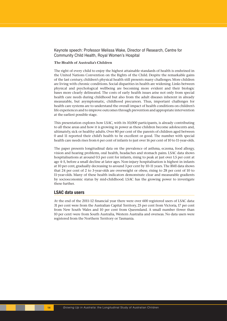Keynote speech: Professor Melissa Wake, Director of Research, Centre for Community Child Health, Royal Women's Hospital

#### **The Health of Australia's Children**

The right of every child to enjoy the highest attainable standards of health is enshrined in the United Nations Convention on the Rights of the Child. Despite the remarkable gains of the last century, children's physical health still presents many challenges. More children are living with chronic conditions. Social disparities in health are widening. Links between physical and psychological wellbeing are becoming more evident and their biologic bases more clearly delineated. The costs of early health issues arise not only from special health care needs during childhood but also from the adult diseases inherent in already measurable, but asymptomatic, childhood precursors. Thus, important challenges for health care systems are to understand the overall impact of health conditions on children's life experiences and to improve outcomes through prevention and appropriate intervention at the earliest possible stage.

This presentation explores how LSAC, with its 10,000 participants, is already contributing to all these areas and how it is growing in power as these children become adolescents and, ultimately, sick or healthy adults. Over 80 per cent of the parents of children aged between 0 and 11 reported their child's health to be excellent or good. The number with special health care needs rises from 6 per cent of infants to just over 16 per cent of 10 to 11-year-olds.

The paper presents longitudinal data on the prevalence of asthma, eczema, food allergy, vision and hearing problems, oral health, headaches and stomach pains. LSAC data shows hospitalisations at around 0.5 per cent for infants, rising to peak at just over 1.5 per cent at age 4–5, before a small decline at later ages. Non-injury hospitalisation is highest in infants at 10 per cent, gradually decreasing to around 3 per cent by 10–11 years. The BMI data shows that 24 per cent of 2 to 3-year-olds are overweight or obese, rising to 28 per cent of 10 to 11-year-olds. Many of these health indicators demonstrate clear and measurable gradients by socioeconomic status by mid-childhood. LSAC has the growing power to investigate these further.

#### **LSAC data users**

At the end of the 2011–12 financial year there were over 600 registered users of LSAC data: 31 per cent were from the Australian Capital Territory, 25 per cent from Victoria, 17 per cent from New South Wales and 10 per cent from Queensland. A small number (fewer than 10 per cent) were from South Australia, Western Australia and overseas. No data users were registered from the Northern Territory or Tasmania.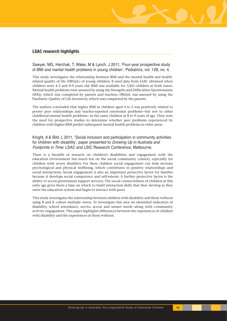## **LSAC research highlights**

Sawyer, MG, Harchak, T, Wake, M & Lynch, J 2011, 'Four-year prospective study of BMI and mental health problems in young children', Pediatrics, vol. 128, no. 4.

This study investigates the relationship between BMI and the mental health and healthrelated quality of life (HRQoL) of young children. It used data from LSAC obtained when children were 4–5 and 8–9 years old. BMI was available for 3,363 children at both waves. Mental health problems were assessed by using the Strengths and Difficulties Questionnaire (SDQ), which was completed by parents and teachers. HRQoL was assessed by using the Paediatric Quality of Life Inventory, which was completed by the parents.

The authors concluded that higher BMI in children aged 4 to 5 was positively related to poorer peer relationships and teacher-reported emotional problems—but not to other childhood mental health problems—in the same children at 8 to 9 years of age. They note the need for prospective studies to determine whether peer problems experienced by children with higher BMI predict subsequent mental health problems in other areas.

## Knight, A & Bild, L 2011, 'Social inclusion and participation in community activities for children with disability', paper presented to *Growing Up in Australia and* Footprints in Time: LSAC and LSIC Research Conference, Melbourne.

There is a breadth of research on children's disabilities and engagement with the education environment but much less on the social community context, especially for children with severe disability. For these children social engagement can help increase psychological and physical wellbeing, which contributes to positive relationships and social interactions. Social engagement is also an important protective factor for families because it develops social competence and self-esteem. A further protective factor is the ability to access government support services. The social connectedness of children at this early age gives them a base on which to build interaction skills that they develop as they enter the education system and begin to interact with peers.

This study investigates the relationship between children with disability and those without using B and K cohort multiple waves. To investigate this area we identified indicators of disability, school attendance, service access and unmet needs—along with community activity engagement. This paper highlights differences between the experiences of children with disability and the experiences of those without.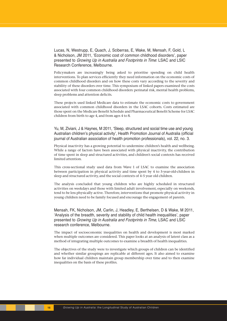Lucas, N, Westrupp, E, Quach, J, Sciberras, E, Wake, M, Mensah, F, Gold, L & Nicholson, JM 2011, 'Economic cost of common childhood disorders', paper presented to Growing Up in Australia and Footprints in Time: LSAC and LSIC Research Conference, Melbourne.

Policymakers are increasingly being asked to prioritise spending on child health interventions. To plan services efficiently they need information on the economic costs of common childhood disorders and on how these costs vary according to the severity and stability of these disorders over time. This symposium of linked papers examined the costs associated with four common childhood disorders: perinatal risk, mental health problems, sleep problems and attention deficits.

These projects used linked Medicare data to estimate the economic costs to government associated with common childhood disorders in the LSAC cohorts. Costs estimated are those spent on the Medicare Benefit Schedule and Pharmaceutical Benefit Scheme for LSAC children from birth to age 4, and from ages 4 to 8.

Yu, M, Ziviani, J & Haynes, M 2011, 'Sleep, structured and social time use and young Australian children's physical activity', Health Promotion Journal of Australia (official journal of Australian association of health promotion professionals), vol. 22, no. 3.

Physical inactivity has a growing potential to undermine children's health and wellbeing. While a range of factors have been associated with physical inactivity, the contribution of time spent in sleep and structured activities, and children's social contexts has received limited attention.

This cross-sectional study used data from Wave 1 of LSAC to examine the association between participation in physical activity and time spent by 4 to 5-year-old-children in sleep and structured activity, and the social contexts of 4–5 year old children.

The analysis concluded that young children who are highly scheduled in structured activities on weekdays and those with limited adult involvement, especially on weekends, tend to be less physically active. Therefore, interventions that promote physical activity in young children need to be family focused and encourage the engagement of parents.

Mensah, FK, Nicholson, JM, Carlin, J, Headley, E, Berthelsen, D & Wake, M 2011, 'Analysis of the breadth, severity and stability of child health inequalities', paper presented to Growing Up in Australia and Footprints in Time, LSAC and LSIC research conference, Melbourne.

The impact of socioeconomic inequalities on health and development is most marked when multiple outcomes are considered. This paper looks at an analysis of latent class as a method of integrating multiple outcomes to examine a breadth of health inequalities.

The objectives of the study were to investigate which groups of children can be identified and whether similar groupings are replicable at different ages. It also aimed to examine how far individual children maintain group membership over time and to then examine inequalities on the basis of these profiles.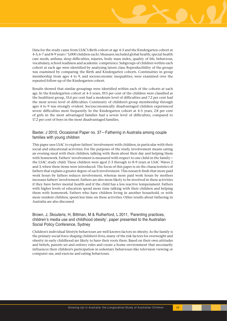

Data for the study came from LSAC's Birth cohort at age 4–5 and the Kindergarten cohort at 4–5, 6–7 and 8–9 years (~5,000 children each). Measures included global health, special health care needs, asthma, sleep difficulties, injuries, body mass index, quality of life, behaviour, vocabulary, school readiness and academic competence. Subgroups of children within each cohort at each age were identified by analysing latent class. Reproducibility of the groups was examined by comparing the Birth and Kindergarten cohorts. Continuities in group membership from ages 4 to 9, and socioeconomic inequalities, were examined over the repeated follow-up of the Kindergarten cohort.

Results showed that similar groupings were identified within each of the cohorts at each age. In the Kindergarten cohort at 4–5 years, 59.5 per cent of the children were classified as the healthiest group, 33.4 per cent had a moderate level of difficulties and 7.2 per cent had the most severe level of difficulties. Continuity of children's group membership through ages 4 to 9 was strongly evident. Socioeconomically disadvantaged children experienced severe difficulties most frequently. In the Kindergarten cohort at 4–5 years, 2.8 per cent of girls in the most advantaged families had a severe level of difficulties, compared to 17.2 per cent of boys in the most disadvantaged families.

## Baxter, J 2010, Occasional Paper no. 37—Fathering in Australia among couple families with young children

This paper uses LSAC to explore fathers' involvement with children, in particular with their social and educational activities. For the purposes of the study, involvement means eating an evening meal with their children, talking with them about their day and helping them with homework. Fathers' involvement is measured with respect to one child in the family the LSAC study child. These children were aged 2–3 through to 8–9 years at LSAC Waves 2 and 3, when these items were introduced. The focus of this paper is on the characteristics of fathers that explain a greater degree of such involvement. This research finds that more paid work hours by fathers reduces involvement, whereas more paid work hours by mothers increases fathers' involvement. Fathers are also more likely to be involved in these activities if they have better mental health and if the child has a less reactive temperament. Fathers with higher levels of education spend more time talking with their children and helping them with homework. Fathers who have children living in another household, or with more resident children, spend less time on these activities. Other results about fathering in Australia are also discussed.

## Brown, J, Skouteris, H, Bittman, M & Rutherford, L 2011, 'Parenting practices, children's media use and childhood obesity', paper presented to the Australian Social Policy Conference, Sydney

Children's individual lifestyle behaviours are well known factors in obesity. As the family is the primary social force shaping children's lives, many of the risk factors for overweight and obesity in early childhood are likely to have their roots there. Based on their own attitudes and beliefs, parents set and enforce rules and create a home environment that necessarily influences their children's participation in sedentary behaviours like television viewing or computer use, and exercise and eating behaviours.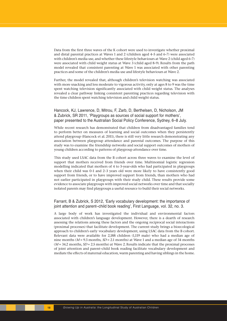Data from the first three waves of the K cohort were used to investigate whether proximal and distal parental practices at Waves 1 and 2 (children aged 4–5 and 6–7) were associated with children's media use, and whether these lifestyle behaviours at Wave 2 (child aged 6–7) were associated with child weight status at Wave 3 (child aged 8–9). Results from the path model revealed that consistent parenting at Wave 1 was associated with other parenting practices and some of the children's media use and lifestyle behaviours at Wave 2.

Further, the model revealed that, although children's television watching was associated with more snacking and less moderate to vigorous activity, only at ages 8 to 9 was the time spent watching television significantly associated with child weight status. The analyses revealed a clear pathway linking consistent parenting practices regarding television with the time children spent watching television and child weight status.

Hancock, KJ, Lawrence, D, Mitrou, F, Zarb, D, Berthelsen, D, Nicholson, JM & Zubrick, SR 2011, 'Playgroups as sources of social support for mothers', paper presented to the Australian Social Policy Conference, Sydney, 6–8 July.

While recent research has demonstrated that children from disadvantaged families tend to perform better on measures of learning and social outcomes when they persistently attend playgroup (Hancock et al. 2011), there is still very little research demonstrating any association between playgroup attendance and parental outcomes. The purpose of this study was to examine the friendship networks and social support outcomes of mothers of young children according to patterns of playgroup attendance over time.

This study used LSAC data from the B cohort across three waves to examine the level of support that mothers received from friends over time. Multinomial logistic regression modelling indicated that mothers of 4 to 5-year-olds who had participated in playgroups when their child was 0–1 and 2–3 years old were more likely to have consistently good support from friends, or to have improved support from friends, than mothers who had not earlier participated in playgroups with their study child. These results provide some evidence to associate playgroups with improved social networks over time and that socially isolated parents may find playgroups a useful resource to build their social networks.

### Farrant, B & Zubrick, S 2012, 'Early vocabulary development: the importance of joint attention and parent–child book reading', First Language, vol. 32, no. 3.

A large body of work has investigated the individual and environmental factors associated with children's language development. However, there is a dearth of research assessing the relations among these factors and the ongoing reciprocal social interactions (proximal processes) that facilitate development. The current study brings a bioecological approach to children's early vocabulary development, using LSAC data from the B cohort. Relevant data were available for 2,188 children (1,119 male) who had a median age of nine months ( $M = 9.3$  months,  $SD = 2.1$  months) at Wave 1 and a median age of 34 months  $(M = 34.2 \text{ months}, SD = 2.5 \text{ months})$  at Wave 2. Results indicate that the proximal processes of joint attention and parent–child book reading facilitate vocabulary development and mediate the effects of maternal education, warm parenting and having siblings in the home.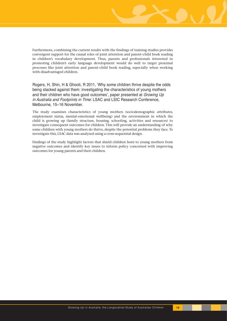

Furthermore, combining the current results with the findings of training studies provides convergent support for the causal roles of joint attention and parent–child book reading in children's vocabulary development. Thus, parents and professionals interested in promoting children's early language development would do well to target proximal processes like joint attention and parent–child book reading, especially when working with disadvantaged children.

Rogers, H, Shin, H & Ghooti, R 2011, 'Why some children thrive despite the odds being stacked against them: investigating the characteristics of young mothers and their children who have good outcomes', paper presented at *Growing Up* in Australia and Footprints in Time: LSAC and LSIC Research Conference, Melbourne, 15–16 November.

The study examines characteristics of young mothers (sociodemographic attributes, employment status, mental–emotional wellbeing) and the environment in which the child is growing up (family structure, housing, schooling, activities and resources) to investigate consequent outcomes for children. This will provide an understanding of why some children with young mothers do thrive, despite the potential problems they face. To investigate this, LSAC data was analysed using a cross-sequential design.

Findings of the study highlight factors that shield children born to young mothers from negative outcomes and identify key issues to inform policy concerned with improving outcomes for young parents and their children.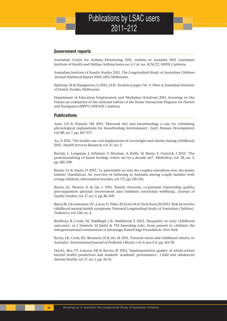## **Government reports**

Australian Centre for Asthma Monitoring 2011, Asthma in Australia 2011, Australian Institute of Health and Welfare Asthma Series no. 4. Cat. no. ACM 22, AIHW, Canberra.

Australian Institute of Family Studies 2011, The Longitudinal Study of Australian Children Annual Statistical Report 2010, AIFS, Melbourne.

Sipthorp, M & Daraganova, G 2011, LSAC Technical paper No. 9, Wave 4, Australian Institute of Family Studies, Melbourne

Department of Education Employment and Workplace Relations 2011, Investing in Our Future: an evaluation of the national rollout of the Home Interaction Program for Parents and Youngsters (HIPPY), DEEWR, Canberra.

#### **Publications**

Amir, LH & Donath, SM 2011, 'Maternal diet and breastfeeding: a case for rethinking physiological explanations for breastfeeding determinants', Early Human Development, vol. 88, no. 7, pp. 467–471.

Au, N 2011, 'The health care cost implications of overweight and obesity during childhood, 2011', Health Services Research, vol. 47, no. 2.

Barclay, L, Longman, J, Schmied, V, Sheehan, A, Rolfe, M, Burns, E, Fenwick, J 2012, 'The professionalising of breast feeding—where are we a decade on?', Midwifery, vol. 28, no. 3, pp. 281–290.

Baxter, JA & Smart, D 2012, 'La paternalité au sein des couples australiens avec des jeunes enfants' [translation: An overview of fathering in Australia among couple families with young children], Information Sociales, vol. 171, pp. 118–126.

Baxter, JA, Weston, R. & Qu, L 2011, 'Family structure, co-parental relationship quality, post-separation paternal involvement and children's emotional wellbeing', Journal of Family Studies, vol. 17, no. 2, pp. 86–109.

Bayer, JK, Ukoumunne, OC, Lucas, N, Wake, M, Scalzo K & Nicholson, JM 2011, 'Risk factors for childhood mental health symptoms: National Longitudinal Study of Australian Children', Pediatrics, vol. 128, no. 4.

Bradbury, B, Corak, M, Waldfogel J & Washbrook E 2012, 'Inequality in early childhood outcomes', in J Ermisch, M Jäntti & TM Smeeding (eds), From parents to children: the intergenerational transmission of advantage, Russell Sage Foundation, New York.

Byrne, LK, Cook, KE, Skouteris, H & Do, M 2011, 'Parental status and childhood obesity in Australia', International Journal of Pediatric Obesity, vol. 6, nos 5–6, pp. 415–18.

Dix,KL, Slee, PT, Lawson, MJ & Keeves, JP 2012, 'Implementation quality of whole-school mental health promotion and students' academic performance', Child and Adolescent Mental Health, vol. 17, no. 1, pp. 45–51.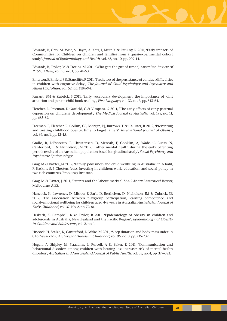

Edwards, B, Gray, M, Wise, S, Hayes, A, Katz, I, Muir, K & Patulny, R 2011, 'Early impacts of Communities for Children on children and families from a quasi-experimental cohort study', Journal of Epidemiology and Health, vol. 65, no. 10, pp. 909–14.

Edwards, B, Taylor, M & Fiorini, M 2011, 'Who gets the gift of time?', Australian Review of Public Affairs, vol. 10, no. 1, pp. 41-60.

Emerson, E, Einfeld, S & Stancliffe, R 2011, 'Predictors of the persistance of conduct difficulties in children with cognitive delay', The Journal of Child Psychology and Psychiatry and Allied Disciplines, vol. 52, pp. 1184–94.

Farrant, BM & Zubrick, S 2011, 'Early vocabulary development: the importance of joint attention and parent–child book reading', First Language, vol. 32, no. 3, pp. 343–64.

Fletcher, R, Freeman, E, Garfield, C & Vimpani, G 2011, 'The early effects of early paternal depression on children's development', The Medical Journal of Australia, vol. 195, no. 11, pp. 685–89.

Freeman, E, Fletcher, R, Collins, CE, Morgan, PJ, Burrows, T & Callister, R 2012, 'Preventing and treating childhood obesity: time to target fathers', International Journal of Obesity, vol. 36, no. 1, pp. 12–15.

Giallo, R, D'Esposito, F, Christensen, D, Mensah, F, Cooklin, A, Wade, C, Lucas, N, Canterford, L & Nicholson, JM 2012, 'Father mental health during the early parenting period: results of an Australian population based longitudinal study', Social Psychiatry and Psychiatric Epidemiology.

Gray, M & Baxter, JA 2012, 'Family joblessness and child wellbeing in Australia', in A Kalil, R Haskins & J Chesters (eds), Investing in children: work, education, and social policy in two rich countries, Brookings Institute.

Gray, M & Baxter, J 2011, 'Parents and the labour market', LSAC Annual Statistical Report, Melbourne: AIFS.

Hancock, K, Lawrence, D, Mitrou, F, Zarb, D, Berthelsen, D, Nicholson, JM & Zubrick, SR 2012, 'The association between playgroup participation, learning competence, and social–emotional wellbeing for children aged 4–5 years in Australia, Australasian Journal of Early Childhood, vol. 37. No. 2, pp. 72–81.

Hesketh, K, Campbell, K & Taylor, R 2011, 'Epidemiology of obesity in children and adolescents in Australia, New Zealand and the Pacific Region', Epidemiology of Obesity in Children and Adolescents, vol. 2, no. 1.

Hiscock, H, Scalzo, K, Canterford, L, Wake, M 2011, 'Sleep duration and body mass index in 0 to 7-year olds', Archives of Disease in Childhood, vol. 96, no. 8, pp. 735–739.

Hogan, A, Shipley, M, Strazdins, L, Purcell, A & Baker, E 2011, 'Communication and behavioural disorders among children with hearing loss increases risk of mental health disorders', Australian and New Zealand Journal of Public Health, vol. 35, no. 4, pp. 377–383.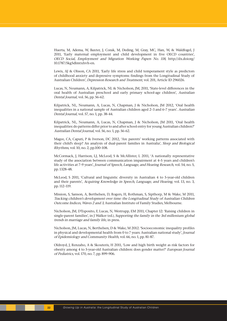Huerta, M, Adema, W, Baxter, J, Corak, M, Deding, M, Gray, MC, Han, W, & Waldfogel, J 2011, 'Early maternal employment and child development in five OECD countries', OECD Social, Employment and Migration Working Papers No. 118, http://dx.doiorg/ 10.1787/5kg5dlmtxhvh-en.

Lewis, AJ & Olsson, CA 2011, 'Early life stress and child temperament style as predictors of childhood anxiety and depressive symptoms: findings from the Longitudinal Study of Australian Children', Depression Research and Treatment, vol. 201, Article ID 296026.

Lucas, N, Neumann, A, Kilpatrick, NL & Nicholson, JM, 2011, 'State-level differences in the oral health of Australian preschool and early primary school-age children', Australian Dental Journal, vol. 56, pp. 56–62.

Kilpatrick, NL, Neumann, A, Lucas, N, Chapman, J & Nicholson, JM 2012, 'Oral health inequalities in a national sample of Australian children aged 2–3 and 6–7 years'. Australian Dental Journal, vol. 57, no. 1, pp. 38–44.

Kilpatrick, NL, Neumann, A, Lucas, N, Chapman, J & Nicholson, JM 2011, 'Oral health inequalities: do patterns differ prior to and after school entry for young Australian children?' Australian Dental Journal, vol. 56, no. 1, pp. 56–62.

Magee, CA, Caputi, P & Iverson, DC 2012, 'Are parents' working patterns associated with their child's sleep? An analysis of dual-parent families in Australia', Sleep and Biological Rhythms, vol. 10, no. 2, pp.100–108.

McCormack, J, Harrison, LJ, McLeod, S & McAllister, L 2011, 'A nationally representative study of the association between communication impairment at 4–5 years and children's life activities at 7–9 years', Journal of Speech, Language, and Hearing Research, vol. 54, no. 5, pp. 1328–48.

McLeod, S 2011, 'Cultural and linguistic diversity in Australian 4 to 5-year-old children and their parents', Acquiring Knowledge in Speech, Language, and Hearing, vol. 13, no. 3, pp. 112–119.

Mission, S, Sanson, A, Berthelsen, D, Rogers, H, Rothman, S, Sipthorp, M & Wake, M 2011, Tracking children's development over time: the Longitudinal Study of Australian Children Outcome Indices, Waves 2 and 3, Australian Institute of Family Studies, Melbourne.

Nicholson, JM, D'Esposito, F, Lucas, N, Westrupp, EM 2011, Chapter 12: 'Raising children in single-parent families', in J Walker (ed.), Supporting the family in the 3rd millenium: global trends in marriage and family life, in press.

Nicholson, JM, Lucas, N, Berthelsen, D & Wake, M 2012. 'Socioeconomic inequality profiles in physical and developmental health from 0 to 7 years: Australian national study', Journal of Epidemiology and Community Health, vol. 66, no. 1, pp. 81–87.

Oldroyd, J, Renzaho, A & Skouteris, H 2011, 'Low and high birth weight as risk factors for obesity among 4 to 5-year-old Australian children: does gender matter?' European Journal of Pediatrics, vol. 170, no. 7, pp. 899–906.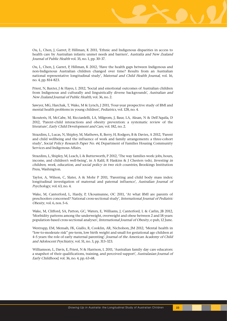

Ou, L, Chen, J, Garret, P, Hillman, K 2011, 'Ethnic and Indigenous disparities in access to health care by Australian infants: unmet needs and barriers', Australia and New Zealand Journal of Public Health vol. 35, no. 1, pp. 30–37.

Ou, L, Chen, J, Garret, P, Hillman, K 2012, 'Have the health gaps between Indigenous and non-Indigenous Australian children changed over time? Results from an Australian national representative longitudinal study', Maternal and Child Health Journal, vol. 16, no. 4, pp. 814–823.

Priest, N, Baxter, J & Hayes, L 2012, 'Social and emotional outcomes of Australian children from Indigenous and culturally and linguistically diverse backgrounds', Australian and New Zealand Journal of Public Health, vol. 36, no. 2.

Sawyer, MG, Harchak, T, Wake, M & Lynch, J 2011, 'Four-year prospective study of BMI and mental health problems in young children', Pediatrics, vol. 128, no. 4.

Skouteris, H, McCabe, M, Ricciardelli, LA, Milgrom, J, Baur, LA, Aksan, N & Dell'Aquila, D 2012, 'Parent–child interactions and obesity prevention: a systematic review of the literature', Early Child Development and Care, vol. 182, no. 2.

Strazdins, L, Lucas, N, Shipley, M, Mathews, R, Berry, H, Rodgers, B & Davies, A 2012, 'Parent and child wellbeing and the influence of work and family arrangements: a three-cohort study', Social Policy Research Paper No. 44, Department of Families Housing Community Services and Indigenous Affairs.

Strazdins, L, Shipley, M, Leach, L & Butterworth, P 2012, 'The way families work: jobs, hours, income, and children's well-being', in A Kalil, R Haskins & J Chesters (eds), Investing in children, work, education, and social policy in two rich countries, Brookings Institution Press, Washington.

Taylor, A, Wilson, C, Slater, A & Mohr P 2011, 'Parenting and child body mass index: longitudinal investigation of maternal and paternal influence', Australian Journal of Psychology, vol. 63, no. 4.

Wake, M, Canterford, L, Hardy, P, Ukoumunne, OC 2011, 'At what BMI are parents of preschoolers concerned? National cross-sectional study', International Journal of Pediatric Obesity, vol. 6, nos. 5–6.

Wake, M, Clifford, SA, Patton, GC, Waters, E, Williams, J, Canterford, L & Carlin, JB 2012, 'Morbidity patterns among the underweight, overweight and obese between 2 and 18 years: population-based cross-sectional analyses', International Journal of Obesity, e-pub, 12 June.

Westrupp, EM, Mensah, FK, Giallo, R, Cooklin, AR, Nicholson, JM 2012, 'Mental health in "low-to-moderate risk" pre-term, low birth weight and small for gestational age children at 4-5 years: the role of early maternal parenting'. Journal of the American Academy of Child and Adolescent Psychiatry, vol. 51, no. 3, pp. 313–323.

Williamson, L, Davis, E, Priest, N & Harrison, L 2011, 'Australian family day care educators: a snapshot of their qualifications, training, and perceived support', Australasian Journal of Early Childhood, vol. 36, no. 4, pp. 63–68.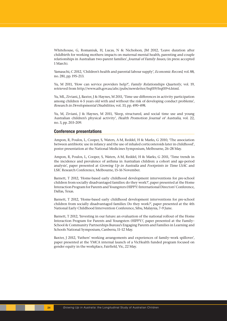Whitehouse, G, Romaniuk, H, Lucas, N & Nicholson, JM 2012, 'Leave duration after childbirth for working mothers: impacts on maternal mental health, parenting and couple relationships in Australian two-parent families', Journal of Family Issues, (in press: accepted 1 March).

Yamauchi, C 2012, 'Children's health and parental labour supply', Economic Record, vol. 88, no. 281, pp. 195–213.

Yu, M 2011, 'How can service providers help?', Family Relationships Quarterly, vol. 19, retrieved from http://www.aifs.gov.au/afrc/pubs/newsletter/frq019/frq019-6.html.

Yu, ML, Ziviani, J, Baxter, J & Haynes, M 2011, 'Time use differences in activity participation among children 4–5 years old with and without the risk of developing conduct problems', Research in Developmental Disabilities, vol. 33, pp. 490–498.

Yu, M, Ziviani, J & Haynes, M 2011, 'Sleep, structured, and social time use and young Australian children's physical activity', Health Promotion Journal of Australia, vol. 22, no. 3, pp. 203–209.

## **Conference presentations**

Ampon, R, Poulos, L, Cooper, S, Waters, A-M, Reddel, H & Marks, G 2010, 'The association between antibiotic use in infancy and the use of inhaled corticosteroids later in childhood', poster presentation at the National Medicines Symposium, Melbourne, 26–28 May.

Ampon, R, Poulos, L, Cooper, S, Waters, A-M, Reddel, H & Marks, G 2011, 'Time trends in the incidence and prevalence of asthma in Australian children: a cohort and age-period analysis', paper presented at Growing Up in Australia and Footprints in Time: LSAC and LSIC Research Conference, Melbourne, 15–16 November.

Barnett, T 2012, 'Home-based early childhood development interventions for pre-school children from socially disadvantaged families: do they work?', paper presented at the Home Interaction Program for Parents and Youngsters (HIPPY) International Directors' Conference, Dallas, Texas.

Barnett, T 2012, 'Home-based early childhood development interventions for pre-school children from socially disadvantaged families: Do they work?', paper presented at the 4th National Early Childhood Intervention Conference, Sibu, Malaysia, 7–9 June.

Barnett, T 2012, 'Investing in our future: an evaluation of the national rollout of the Home Interaction Program for Parents and Youngsters (HIPPY)', paper presented at the Family– School & Community Partnerships Bureau's Engaging Parents and Families in Learning and Schools National Symposium, Canberra, 11–12 May.

Baxter, J 2012, 'Fathers' working arrangements and experiences of family–work spillover', paper presented at the YMCA internal launch of a VicHealth funded program focused on gender equity in the workplace, Fairfield, Vic, 22 May.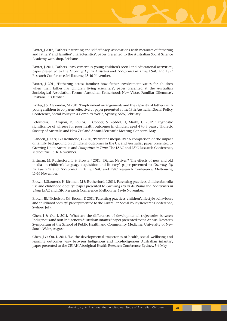Baxter, J 2012, 'Fathers' parenting and self-efficacy: associations with measures of fathering and fathers' and families' characteristics', paper presented to the Australian Social Science Academy workshop, Brisbane.

Baxter, J 2011, 'Fathers' involvement in young children's social and educational activities', paper presented to the Growing Up in Australia and Footprints in Time: LSAC and LSIC Research Conference, Melbourne, 15–16 November.

Baxter, J 2011, 'Fathering across families: how father involvement varies for children when their father has children living elsewhere', paper presented at the Australian Sociological Association Forum 'Australian Fatherhood: New Vistas, Familiar Dilemmas', Brisbane, 19 October.

Baxter, J & Alexandar, M 2011, 'Employment arrangements and the capacity of fathers with young children to co-parent effectively', paper presented at the 13th Australian Social Policy Conference, Social Policy in a Complex World, Sydney, NSW, February.

Belousova, E, Ampon, R, Poulos, L, Cooper, S, Reddel, H, Marks, G 2012, 'Prognostic significance of wheeze for poor health outcomes in children aged 4 to 5 years', Thoracic Society of Australia and New Zealand Annual Scientific Meeting, Canberra, May.

Blanden, J, Katz, I & Redmond, G 2011, 'Persistent inequality? A comparison of the impact of family background on children's outcomes in the UK and Australia', paper presented to Growing Up in Australia and Footprints in Time: The LSAC and LSIC Research Conference, Melbourne, 15–16 November.

Bittman, M, Rutherford, L & Brown, J 2011, ''Digital Natives'? The effects of new and old media on children's language acquisition and literacy', paper presented to Growing Up in Australia and Footprints in Time: LSAC and LSIC Research Conference, Melbourne, 15–16 November.

Brown, J, Skouteris, H, Bittman, M & Rutherford, L 2011, 'Parenting practices, children's media use and childhood obesity', paper presented to *Growing Up in Australia* and *Footprints in* Time: LSAC and LSIC Research Conference, Melbourne, 15–16 November.

Brown, JE, Nicholson, JM, Broom, D 2011, 'Parenting practices, children's lifestyle behaviours and childhood obesity', paper presented to the Australian Social Policy Research Conference, Sydney, July.

Chen, J & Ou, L 2011, 'What are the differences of developmental trajectories between Indigenous and non-Indigenous Australian infants?' paper presented to the Annual Research Symposium of the School of Public Health and Community Medicine, University of New South Wales, August.

Chen, J & Ou, L 2011, 'Do the developmental trajectories of health, social wellbeing and learning outcomes vary between Indigenous and non-Indigenous Australian infants?', paper presented to the CRIAH Aboriginal Health Research Conference, Sydney, 5–6 May.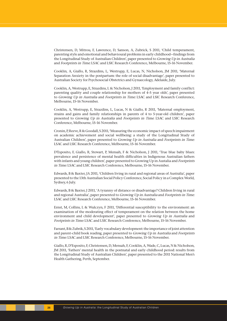Christensen, D, Mitrou, F, Lawrence, D, Sanson, A, Zubrick, S 2011, 'Child temperament, parenting style and emotional and behavioural problems in early childhood—findings from the Longitudinal Study of Australian Children', paper presented to Growing Up in Australia and Footprints in Time: LSAC and LSIC Research Conference, Melbourne, 15–16 November.

Cooklin, A, Giallo, R, Strazdins, L, Westrupp, E, Lucas, N, Nicholson, JM 2011, 'Maternal Separation Anxiety in the postpartum: the role of social disadvantage', paper presented to Australian Society for Psychosocial Obstetrics and Gynaecology, Adelaide, July.

Cooklin, A, Westrupp, E, Strazdins, L & Nicholson, J 2011, 'Employment and family conflict: parenting quality and couple relationship for mothers of 4–5 year olds', paper presented to Growing Up in Australia and Footprints in Time: LSAC and LSIC Research Conference, Melbourne, 15–16 November.

Cooklin, A, Westrupp, E, Strazdins, L, Lucas, N & Giallo, R 2011, 'Maternal employment, strains and gains and family relationships in parents of 4 to 5-year-old children', paper presented to Growing Up in Australia and Footprints in Time: LSAC and LSIC Research Conference, Melbourne, 15–16 November.

Cronin, P, Reeve, R & Goodall, S 2011, 'Measuring the economic impact of speech impairment on academic achievement and social wellbeing: a study of the Longitudinal Study of Australian Children', paper presented to Growing Up in Australia and Footprints in Time: LSAC and LSIC Research Conference, Melbourne, 15–16 November.

D'Esposito, F, Giallo, R, Stewart, P, Mensah, F & Nicholson, J 2011, 'True blue baby blues: prevalence and persistence of mental health difficulties in Indigenous Australian fathers with infants and young children', paper presented to Growing Up in Austalia and Footprints in Time: LSAC and LSIC Research Conference, Melbourne, 15–16 November.

Edwards, B & Baxter, JA 2011, 'Children living in rural and regional areas of Australia', paper presented to the 13th Australian Social Policy Conference, Social Policy in a Complex World, Sydney, 6 July.

Edwards, B & Baxter, J 2011, 'A tyranny of distance or disadvantage? Children living in rural and regional Australia', paper presented to Growing Up in Australia and Footprints in Time: LSAC and LSIC Research Conference, Melbourne, 15–16 November.

Ernst, M, Collins, L & Wulczyn, F 2011, 'Differential susceptibility to the environment: an examination of the moderating effect of temperament on the relation between the home environment and child development', paper presented to Growing Up in Australia and Footprints in Time: LSAC and LSIC Research Conference, Melbourne, 15–16 November.

Farrant, B & Zubrik, S 2011, 'Early vocabulary development: the importance of joint attention and parent–child book reading, paper presented to Growing Up in Australia and Footprints in Time: LSAC and LSIC Research Conference, Melbourne, 15–16 November.

Giallo, R, D'Esposito, F, Christensen, D, Mensah, F, Cooklin, A, Wade, C, Lucas, N & Nicholson, JM 2011, 'Fathers' mental health in the postnatal and early childhood period: results from the Longitudinal Study of Australian Children', paper presented to the 2011 National Men's Health Gathering, Perth, September.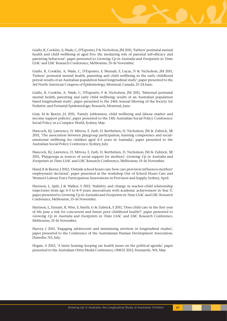

Giallo, R, Cooklin, A, Wade, C, D'Esposito, F & Nicholson, JM 2011, 'Fathers' postnatal mental health and child wellbeing at aged five: the mediating role of parental self-efficacy and parenting behaviour', paper presented to *Growing Up in Australia* and *Footprints in Time*. LSAC and LSIC Research Conference, Melbourne, 15–16 November.

Giallo, R, Cooklin, A, Wade, C, D'Esposito, F, Mensah, F, Lucas, N & Nicholson, JM 2011, 'Fathers' postnatal mental health, parenting and child wellbeing in the early childhood period: results of an Australian population based longitudinal study', paper presented to the 3rd North American Congress of Epidemiology, Montreal, Canada, 21–24 June.

Giallo, R, Cooklin, A, Wade, C, D'Esposito, F & Nicholson, JM 2011, 'Maternal postnatal mental health, parenting and early child wellbeing: results of an Australian population based longitudinal study', paper presented to the 24th Annual Meeting of the Society for Pediatric and Perinatal Epidemiologic Research, Montreal, June.

Gray, M & Baxter, JA 2011, 'Family joblessness, child wellbeing and labour market and income support policies', paper presented to the 13th Australian Social Policy Conference: Social Policy in a Complex World, Sydney, May.

Hancock, KJ, Lawrence, D, Mitrou, F, Zarb, D, Berthelsen, D, Nicholson, JM & Zubrick, SR 2011, 'The association between playgroup participation, learning competence and social– emotional wellbeing for children aged 4–5 years in Australia', paper presented to the Australian Social Policy Conference, Sydney, July.

Hancock, KJ, Lawrence, D, Mitrou, F, Zarb, D, Berthelsen, D, Nicholson, JM & Zubrick, SR 2011, 'Playgroups as sources of social support for mothers', Growing Up in Australia and Footprints in Time: LSAC and LSIC Research Conference, Melbourne, 15–16 November.

Hand, K & Baxter, J 2012, 'Outside school hours care: how care provision influences mothers' employment decisions', paper presented at the workshop Out of School Hours Care and Women's Labour Force Participation: Innovations in Provision and Supply, Sydney, April.

Harrison, L, Spilt, J & Walker, S 2011, 'Stability and change in teacher–child relationship trajectories from age 4–5 to 8–9 years: associations with academic achievement in Year 5', paper presented to *Growing Up in Australia* and *Footprints in Time*: LSAC and LSIC Research Conference, Melbourne, 15–16 November.

Harrison, L, Farrant, B, Wise, S, Smith, G & Zubrick, S 2011, 'Does child care in the first year of life pose a risk for concurrent and future poor childhood health?', paper presented to Growing Up in Australia and Footprints in Time: LSAC and LSIC Research Conference, Melbourne, 15–16 November.

Harvey, J 2011, 'Engaging adolescents and minimising attrition in longitudinal studies', paper presented to the Conference of the Australasian Human Development Association, Dunedin, NZ, July.

Hogan, A 2012, 'A fairer hearing: keeping ear health issues on the political agenda', paper presented to the Australian Otitis Media Conference, OMOZ 2012, Fremantle, WA, May.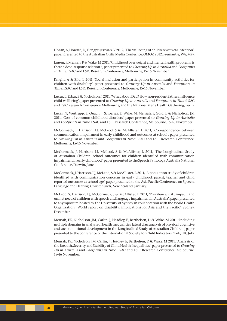Hogan, A, Howard, D, Yiengprugsawan, V 2012, 'The wellbeing of children with ear infection', paper presented to the Australian Otitis Media Confernce, OMOZ 2012, Fremantle, WA, May.

Jansen, P, Mensah, F & Wake, M 2011, 'Childhood overweight and mental health problems: is there a dose–response relation?', paper presented to Growing Up in Australia and Footprints in Time: LSAC and LSIC Research Conference, Melbourne, 15–16 November.

Knight, A & Bild, L 2011, 'Social inclusion and participation in community activities for children with disability', paper presented to Growing Up in Australia and Footprints in Time: LSAC and LSIC Research Conference, Melbourne, 15–16 November.

Lucus, L, Erbas, B & Nicholson, J 2011, 'What about Dad? How non-resident fathers influence child wellbeing', paper presented to Growing Up in Australia and Footprints in Time: LSAC and LSIC Research Conference, Melbourne, and the National Men's Health Gathering, Perth.

Lucas, N, Westrupp, E, Quach, J, Sciberras, E, Wake, M, Mensah, F, Gold, L & Nicholson, JM 2011, 'Cost of common childhood disorders', paper presented to Growing Up in Australia and Footprints in Time: LSAC and LSIC Research Conference, Melbourne, 15–16 November.

McCormack, J, Harrison, LJ, McLeod, S & McAllister, L 2011, 'Correspondence between communication impairment in early childhood and outcomes at school', paper presented to Growing Up in Australia and Footprints in Time: LSAC and LSIC Research Conference, Melbourne, 15–16 November.

McCormack, J, Harrison, LJ, McLeod, S & McAllister, L 2011, 'The Longitudinal Study of Australian Children: school outcomes for children identified with communication impairment in early childhood', paper presented to the Speech Pathology Australia National Conference, Darwin, June.

McCormack, J, Harrison, LJ, McLeod, S & McAllister, L 2011, 'A population study of children identified with communication concerns in early childhood: parent, teacher and child reported outcomes at school age', paper presented to the Asia Pacific Conference on Speech, Language and Hearing, Christchurch, New Zealand, January.

McLeod, S, Harrison, LJ, McCormack, J & McAllister, L 2011, 'Prevalence, risk, impact, and unmet need of children with speech and language impairment in Australia', paper presented to a symposium hosted by the University of Sydney in collaboration with the World Health Organization, 'World report on disability: implications for Asia and the Pacific', Sydney, December.

Mensah, FK, Nicholson, JM, Carlin, J, Headley, E, Berthelsen, D & Wake, M 2011, 'Including multiple domains in analysis of health inequalities: latent class analysis of physical, cognitive and socio-emotional development in the Longitudinal Study of Australian Children', paper presented to the conference of the International Society for Child Indicators, York, UK, July.

Mensah, FK, Nicholson, JM, Carlin, J, Headley, E, Berthelsen, D & Wake, M 2011, 'Analysis of the Breadth, Severity and Stability of Child Health Inequalities', paper presented to Growing Up in Australia and Footprints in Time. LSAC and LSIC Research Conference, Melbourne, 15–16 November.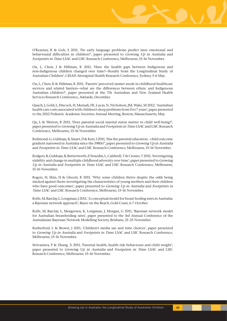

O'Kearney, R & Goh, S 2011, 'Do early language problems predict later emotional and behavioural difficulties in children?', paper presented to *Growing Up in Australia* and Footprints in Time: LSAC and LSIC Research Conference, Melbourne, 15–16 November.

Ou, L, Chen, J & Hillman, K 2011, 'Have the health gaps between Indigenous and non-Indigenous children changed over time?—Results from the Longitudinal Study of Australian Children', CRIAH Aboriginal Health Research Conference, Sydney, 5–6 May.

Ou, L, Chen, K & Hillman, K 2011, 'Parents' perceived unmet needs in childhood healthcare services and related barriers—what are the differences between ethnic and Indigenous Australian children?', paper presented at the 7th Australian and New Zealand Health Services Research Conference, Adelaide, December.

Quach, J, Gold, L, Hiscock, H, Mensah, FK, Lucas, N, Nicholson, JM, Wake, M 2012, 'Australian health care costs associated with children's sleep problems from 0 to 7 years', paper presented to the 2012 Pediatric Academic Societies Annual Meeting, Boston, Massachusetts, May.

Qu, L & Weston, R 2011, 'Does parental social marital status matter to child well-being?', paper presented to Growing Up in Australia and Footprints in Time: LSAC and LSIC Research Conference, Melbourne, 15–16 November.

Redmond, G, Gubhaju, B, Smart, D & Katz, I 2011, 'Has the parental education – child outcome gradient narrowed in Australia since the 1980s?', paper presented to Growing Up in Australia and Footprints in Time: LSAC and LSIC Research Conference, Melbourne, 15–16 November.

Rodgers, B, Gubhaju, B, Butterworth, P, Strazdin, L, Caldwell, T & Crosier, T 2011, 'Investigating stability and change in multiple childhood adversity over time', paper presented to Growing Up in Australia and Footprints in Time: LSAC and LSIC Research Conference, Melbourne, 15–16 November.

Rogers, H, Shin, H & Ghooti, R 2011, 'Why some children thrive despite the odds being stacked against them: investigating the characteristics of young mothers and their children who have good outcomes', paper presented to *Growing Up in Australia* and *Footprints in* Time: LSAC and LSIC Research Conference, Melbourne, 15–16 November.

Rolfe, M, Barclay, L, Longman, J 2011, 'A conceptual model for breast feeding rates in Australia: a Bayesian network approach', Bayes on the Beach, Gold Coast, 6–7 October.

Rolfe, M, Barclay, L, Mengersen, K, Longman, J, Morgan, G 2011, 'Bayesian network model for Australian breastfeeding rates', paper presented to the 3rd Annual Conference of the Australasian Bayesian Network Modelling Society, Brisbane, 21–25 November.

Rutherford, L & Brown, J 2011, 'Children's media use and time choices', paper presented to Growing Up in Australia and Footprints in Time: LSAC and LSIC Research Conference, Melbourne, 15–16 November.

Srtivastava, P & Zhang, X 2011, 'Parental health, health risk behaviours and child weight', paper presented to Growing Up in Australia and Footprints in Time: LSAC and LSIC Research Conference, Melbourne, 15–16 November.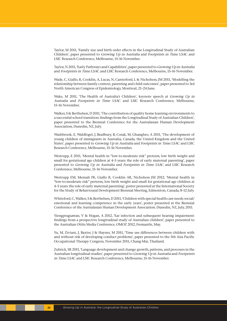Taylor, M 2011, 'Family size and birth order effects in the Longitudinal Study of Australian Children', paper presented to Growing Up in Australia and Footprints in Time: LSAC and LSIC Research Conference, Melbourne, 15–16 November.

Taylor, N 2011, 'Early Pathways and Capabilities', paper presented to Growing Up in Australia and Footprints in Time: LSAC and LSIC Research Conference, Melbourne, 15–16 November.

Wade, C, Giallo, R, Cooklin, A, Lucas, N, Canterford, L & Nicholson, JM 2011, 'Modelling the relationship between family context, parenting and child outcomes', paper presented to 3rd North American Congress of Epidemiology, Montreal, 21–24 June.

Wake, M 2011, 'The Health of Australia's Children', keynote speech at Growing Up in Australia and Footprints in Time: LSAC and LSIC Research Conference, Melbourne, 15–16 November.

Walker, S & Berthelsen, D 2011, 'The contribution of quality home learning environments to a successful school transition: findings from the Longitudinal Study of Australian Children', paper presented to the Biennial Conference for the Australasian Human Development Association, Dunedin, NZ, July.

Washbrook, E, Waldfogel, J, Bradbury, B, Corak, M, Ghanghro, A 2011, 'The development of young children of immigrants in Australia, Canada, the United Kingdom and the United States', paper presented to *Growing Up in Australia* and *Footprints in Time*: LSAC and LSIC Research Conference, Melbourne, 15–16 November.

Westrupp, E 2011, 'Mental health in "low-to-moderate risk" preterm, low birth weight and small for gestational age children at 4–5 years: the role of early maternal parenting', paper presented to Growing Up in Australia and Footprints in Time: LSAC and LSIC Research Conference, Melbourne, 15–16 November.

Westrupp EM, Mensah FK, Giallo R, Cooklin AR, Nicholson JM 2012, 'Mental health in "low-to-moderate risk" preterm, low birth weight and small for gestational age children at 4–5 years: the role of early maternal parenting', poster presented at the International Society for the Study of Behavioural Development Biennial Meeting, Edmonton, Canada, 8–12 July.

Whiteford, C, Walker, S & Berthelsen, D 2011, 'Children with special health care needs: social/ emotional and learning competence in the early years', poster presented at the Biennial Conference of the Australasian Human Development Association. Dunedin, NZ, July, 2011.

Yiengprugsawan, V & Hogan, A 2012, 'Ear infection and subsequent hearing impairment: findings from a prospective longitudinal study of Australian children', paper presented to the Australian Otitis Media Conference, OMOZ 2012, Fremantle, May.

Yu, M, Ziviani, J, Baxter, J & Haynes, M 2011, 'Time use differences between children with and without risk of developing conduct problems', paper presented to the 5th Asia Pacific Occupational Therapy Congress, November 2011, Chang-Mai, Thailand.

Zubrick, SR 2011, 'Language development and change: growth, patterns, and processes in the Australian longitudinal studies', paper presented to Growing Up in Australia and Footprints in Time: LSAC and LSIC Research Conference, Melbourne, 15–16 November.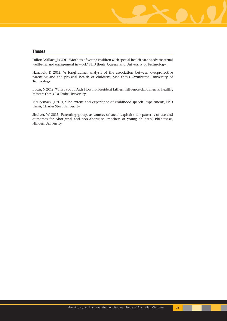

#### **Theses**

Dillon-Wallace, JA 2011, 'Mothers of young children with special health care needs: maternal wellbeing and engagement in work', PhD thesis, Queensland University of Technology.

Hancock, K 2012, 'A longitudinal analysis of the association between overprotective parenting and the physical health of children', MSc thesis, Swinburne University of Technology.

Lucas, N 2012, 'What about Dad? How non-resident fathers influence child mental health', Masters thesis, La Trobe University.

McCormack, J 2011, 'The extent and experience of childhood speech impairment', PhD thesis, Charles Sturt University.

Shulver, W 2012, 'Parenting groups as sources of social capital: their patterns of use and outcomes for Aboriginal and non-Aboriginal mothers of young children', PhD thesis, Flinders University.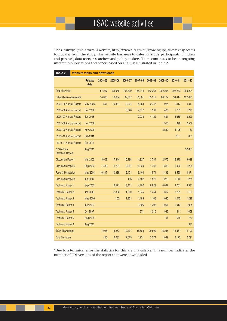The Growing up in Australia website, http://www.aifs.gov.au/growingup/, allows easy access to updates from the study. The website has areas to cater for study participants (children and parents), data users, researchers and policy makers. There continues to be an ongoing interest in publications and papers based on LSAC, as illustrated in Table 2.

| Table 2<br><b>Website visits and downloads</b> |                  |         |         |         |         |         |         |         |             |  |
|------------------------------------------------|------------------|---------|---------|---------|---------|---------|---------|---------|-------------|--|
|                                                | Release<br>date  | 2004-05 | 2005-06 | 2006-07 | 2007-08 | 2008-09 | 2009-10 | 2010-11 | $2011 - 12$ |  |
| Total site visits                              |                  | 57,227  | 85,966  | 107,890 | 155,144 | 182,263 | 202,264 | 202,233 | 260,204     |  |
| Publications-downloads                         |                  | 14,860  | 19,664  | 37,387  | 51,501  | 55,919  | 88,172  | 94,417  | 127,695     |  |
| 2004-05 Annual Report                          | May 2005         | 501     | 10,831  | 9,024   | 5,183   | 2,747   | 925     | 2,117   | 1,411       |  |
| 2005-06 Annual Report                          | Dec 2006         |         |         | 8,026   | 4,817   | 1,339   | 426     | 1,755   | 1,293       |  |
| 2006-07 Annual Report                          | <b>Jun 2008</b>  |         |         |         | 2,938   | 4,122   | 691     | 2,668   | 3,223       |  |
| 2007-08 Annual Report                          | Dec 2008         |         |         |         |         |         | 1,970   | 998     | 2,509       |  |
| 2008-09 Annual Report                          | <b>Nov 2009</b>  |         |         |         |         |         | 5,562   | 3,105   | 39          |  |
| 2009-10 Annual Report                          | Feb 2011         |         |         |         |         |         |         | 787*    | 805         |  |
| 2010-11 Annual Report                          | Oct 2012         |         |         |         |         |         |         |         |             |  |
| 2010 Annual<br><b>Statistical Report</b>       | Aug 2011         |         |         |         |         |         |         |         | 92,863      |  |
| <b>Discussion Paper 1</b>                      | Mar 2002         | 3,002   | 17,844  | 15,198  | 4,927   | 3,734   | 2,575   | 12,870  | 9.099       |  |
| <b>Discussion Paper 2</b>                      | Sep 2003         | 1,483   | 1,721   | 2,987   | 2,830   | 1,743   | 1,316   | 1,420   | 1,298       |  |
| Paper 3 Discussion                             | May 2004         | 10,317  | 10,389  | 9,471   | 9,104   | 1,574   | 1,196   | 8,550   | 4,871       |  |
| <b>Discussion Paper 5</b>                      | <b>Jun 2007</b>  |         |         | 196     | 2,182   | 1,573   | 1,228   | 1,144   | 1,255       |  |
| <b>Technical Paper 1</b>                       | Sep 2005         |         | 2,521   | 3,401   | 4,702   | 8,823   | 6,042   | 4,751   | 6,331       |  |
| <b>Technical Paper 2</b>                       | <b>Jan 2006</b>  |         | 2,322   | 1,960   | 1,945   | 1,454   | 1,367   | 1,231   | 1,109       |  |
| <b>Technical Paper 3</b>                       | May 2006         |         | 103     | 1,351   | 1,188   | 1,165   | 1,030   | 1,245   | 1,298       |  |
| <b>Technical Paper 4</b>                       | <b>July 2007</b> |         |         |         | 1,896   | 1,392   | 1,061   | 1,012   | 1,085       |  |
| <b>Technical Paper 5</b>                       | Oct 2007         |         |         |         | 671     | 1,210   | 936     | 911     | 1,059       |  |
| <b>Technical Paper 6</b>                       | Aug 2009         |         |         |         |         |         | 701     | 678     | 752         |  |
| <b>Technical Paper 9</b><br>Aug 2011           |                  |         |         |         |         |         |         |         | 931         |  |
| <b>Study Newsletters</b>                       |                  | 7,928   | 8,257   | 12,431  | 18,589  | 20,699  | 15,286  | 14,551  | 14,199      |  |
| <b>Data Dictionary</b>                         |                  | 150     | 2,237   | 2,625   | 1,931   | 2,374   | 1,099   | 2,123   | 2,291       |  |

\*Due to a technical error the statistics for this are unavailable. This number indicates the number of PDF versions of the report that were downloaded